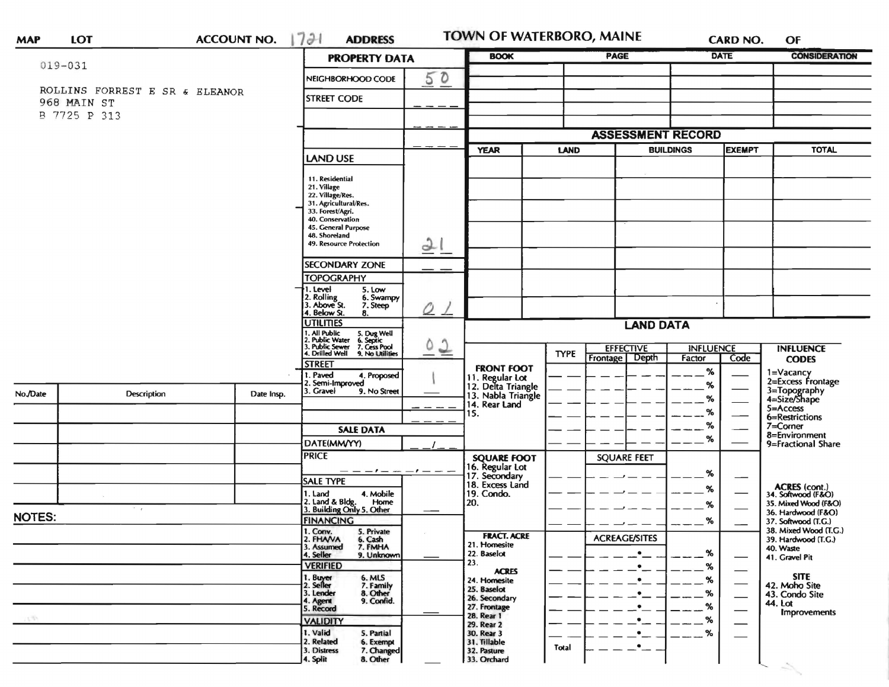| <b>MAP</b>    | <b>LOT</b>                                    | <b>ACCOUNT NO.</b> | 7 <sup>31</sup><br><b>ADDRESS</b>                                                      |                    | <b>TOWN OF WATERBORO, MAINE</b>       |             |                          | <b>CARD NO.</b>                    | OF                                        |
|---------------|-----------------------------------------------|--------------------|----------------------------------------------------------------------------------------|--------------------|---------------------------------------|-------------|--------------------------|------------------------------------|-------------------------------------------|
|               | $019 - 031$                                   |                    | <b>PROPERTY DATA</b>                                                                   |                    | <b>BOOK</b>                           |             | <b>PAGE</b>              | <b>DATE</b>                        | <b>CONSIDERATION</b>                      |
|               |                                               |                    | NEIGHBORHOOD CODE                                                                      | 50                 |                                       |             |                          |                                    |                                           |
|               | ROLLINS FORREST E SR & ELEANOR<br>968 MAIN ST |                    | <b>STREET CODE</b>                                                                     |                    |                                       |             |                          |                                    |                                           |
|               | B 7725 P 313                                  |                    |                                                                                        |                    |                                       |             |                          |                                    |                                           |
|               |                                               |                    |                                                                                        |                    |                                       |             | <b>ASSESSMENT RECORD</b> |                                    |                                           |
|               |                                               |                    |                                                                                        |                    | <b>YEAR</b>                           | <b>LAND</b> | <b>BUILDINGS</b>         | <b>EXEMPT</b>                      | <b>TOTAL</b>                              |
|               |                                               |                    | LAND USE                                                                               |                    |                                       |             |                          |                                    |                                           |
|               |                                               |                    | 11. Residential<br>21. Village                                                         |                    |                                       |             |                          |                                    |                                           |
|               |                                               |                    | 22. Village/Res.<br>31. Agricultural/Res.                                              |                    |                                       |             |                          |                                    |                                           |
|               |                                               |                    | 33. Forest/Agri.                                                                       |                    |                                       |             |                          |                                    |                                           |
|               |                                               |                    | 40. Conservation<br>45. General Purpose                                                |                    |                                       |             |                          |                                    |                                           |
|               |                                               |                    | 48. Shoreland<br>49. Resource Protection                                               | 21                 |                                       |             |                          |                                    |                                           |
|               |                                               |                    |                                                                                        |                    |                                       |             |                          |                                    |                                           |
|               |                                               |                    | <b>SECONDARY ZONE</b><br><b>TOPOGRAPHY</b>                                             |                    |                                       |             |                          |                                    |                                           |
|               |                                               |                    | 1. Level<br>5. Low                                                                     |                    |                                       |             |                          |                                    |                                           |
|               |                                               |                    | 2. Rolling<br>3. Above St.<br>6. Swampy<br>7. Steep                                    | 0                  |                                       |             |                          |                                    |                                           |
|               |                                               |                    | 4. Below St.<br>8.<br><b>UTILITIES</b>                                                 |                    |                                       |             | <b>LAND DATA</b>         |                                    |                                           |
|               |                                               |                    | 1. All Public 5. Dug Well<br>2. Public Water 6. Septic<br>3. Public Sewer 7. Cess Pool |                    |                                       |             |                          |                                    |                                           |
|               |                                               |                    | 4. Drilled Well 9. No Utilities                                                        | $\frac{2}{3}$<br>٥ |                                       | <b>TYPE</b> | <b>EFFECTIVE</b>         | <b>INFLUENCE</b>                   | <b>INFLUENCE</b>                          |
|               |                                               |                    | <b>STREET</b>                                                                          |                    | <b>FRONT FOOT</b>                     |             | Frontage Depth           | Code<br>Factor                     | <b>CODES</b>                              |
|               |                                               |                    | 1. Paved<br>4. Proposed<br>2. Semi-Improved                                            |                    | 11. Regular Lot<br>12. Delta Triangle |             |                          | $\%$<br>$\%$                       | 1=Vacancy<br>2=Excess Frontage            |
| No./Date      | <b>Description</b>                            | Date Insp.         | 3. Gravel<br>9. No Street                                                              |                    | 13. Nabla Triangle                    |             |                          | %                                  | 3=Topography<br>4=Size/Shape              |
|               |                                               |                    |                                                                                        |                    | 14. Rear Land<br>15.                  |             |                          | %                                  | $5 =$ Access                              |
|               |                                               |                    | <b>SALE DATA</b>                                                                       |                    |                                       |             |                          | %                                  | 6=Restrictions<br>7=Corner                |
|               |                                               |                    | DATE(MM/YY)                                                                            |                    |                                       |             |                          | %                                  | 8=Environment<br>9=Fractional Share       |
|               |                                               |                    | <b>PRICE</b>                                                                           |                    | <b>SQUARE FOOT</b>                    |             | <b>SQUARE FEET</b>       |                                    |                                           |
|               |                                               |                    | — — — • — — — — — —                                                                    |                    | 16. Regular Lot<br>17. Secondary      |             |                          | %                                  |                                           |
|               |                                               |                    | <b>SALE TYPE</b>                                                                       |                    | 18. Excess Land                       |             |                          | %                                  | ACRES (cont.)<br>34. Softwood (F&O)       |
|               |                                               |                    | 1. Land<br>4. Mobile<br>2. Land & Bldg. Home<br>3. Building Only 5. Other<br>Home      |                    | 19. Condo.<br>20.                     |             |                          | —<br>%                             | 35. Mixed Wood (F&O)                      |
| <b>NOTES:</b> | $\sim$ $\sim$                                 |                    | <b>FINANCING</b>                                                                       |                    |                                       |             |                          | %                                  | 36. Hardwood (F&O)<br>37. Softwood (T.G.) |
|               |                                               |                    | 1. Conv.<br>2. FHAVA<br>5. Private<br>6. Cash                                          |                    | <b>FRACT. ACRE</b>                    |             | <b>ACREAGE/SITES</b>     |                                    | 38. Mixed Wood (T.G.)                     |
|               |                                               |                    | 3. Assumed<br>7. FMHA                                                                  |                    | 21. Homesite                          |             | $\bullet$                | %                                  | 39. Hardwood (T.G.)<br>40. Waste          |
|               |                                               |                    | 4. Seller<br>9. Unknown<br><b>VERIFIED</b>                                             |                    | 22. Baselot<br>23.                    |             | $\bullet$ $\_\_$         | %                                  | 41. Gravel Pit                            |
|               |                                               |                    | 1. Buyer<br>2. Seller<br>6. MLS                                                        |                    | <b>ACRES</b><br>24. Homesite          |             | $\bullet$                | %                                  | <b>SITE</b>                               |
|               |                                               |                    | 7. Family<br>8. Other<br>3. Lender                                                     |                    | 25. Baselot<br>26. Secondary          |             | $\bullet$                | %<br>$\overbrace{\phantom{aaaaa}}$ | 42. Moho Site<br>43. Condo Site           |
|               |                                               |                    | 9. Confid.<br>4. Agent<br>5. Record                                                    |                    | 27. Frontage                          |             | $\bullet$                | %<br>—                             | 44. Lot<br><b>Improvements</b>            |
|               |                                               |                    | <b>VALIDITY</b>                                                                        |                    | 28. Rear 1<br>29. Rear 2              |             |                          | %                                  |                                           |
|               |                                               |                    | 1. Valid<br>5. Partial<br>2. Related<br>6. Exempt                                      |                    | 30. Rear 3<br>31. Tillable            |             |                          | %                                  |                                           |
|               |                                               |                    | 3. Distress<br>7. Changed                                                              |                    | 32. Pasture                           | Total       | $\bullet$                |                                    |                                           |
|               |                                               |                    | 8. Other<br>4. Split                                                                   |                    | 33. Orchard                           |             |                          |                                    | Ž.                                        |